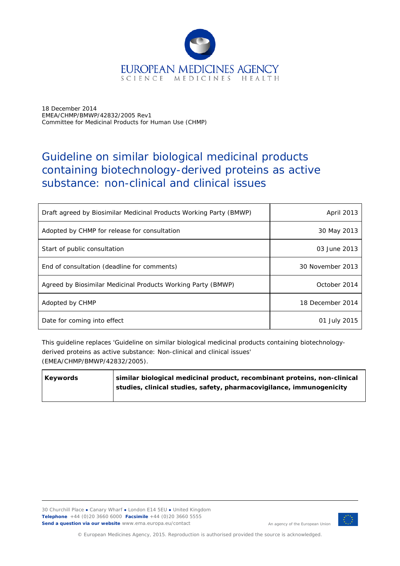

18 December 2014 EMEA/CHMP/BMWP/42832/2005 Rev1 Committee for Medicinal Products for Human Use (CHMP)

# Guideline on similar biological medicinal products containing biotechnology-derived proteins as active substance: non-clinical and clinical issues

| Draft agreed by Biosimilar Medicinal Products Working Party (BMWP) | April 2013       |
|--------------------------------------------------------------------|------------------|
| Adopted by CHMP for release for consultation                       | 30 May 2013      |
| Start of public consultation                                       | 03 June 2013     |
| End of consultation (deadline for comments)                        | 30 November 2013 |
| Agreed by Biosimilar Medicinal Products Working Party (BMWP)       | October 2014     |
| Adopted by CHMP                                                    | 18 December 2014 |
| Date for coming into effect                                        | 01 July 2015     |

This guideline replaces 'Guideline on similar biological medicinal products containing biotechnologyderived proteins as active substance: Non-clinical and clinical issues' (EMEA/CHMP/BMWP/42832/2005).

| <b>Keywords</b> | similar biological medicinal product, recombinant proteins, non-clinical |
|-----------------|--------------------------------------------------------------------------|
|                 | studies, clinical studies, safety, pharmacovigilance, immunogenicity     |
|                 |                                                                          |



An agency of the European Union

© European Medicines Agency, 2015. Reproduction is authorised provided the source is acknowledged.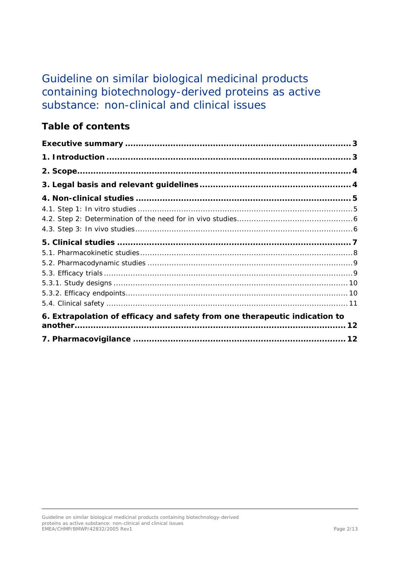# Guideline on similar biological medicinal products containing biotechnology-derived proteins as active substance: non-clinical and clinical issues

# **Table of contents**

| 6. Extrapolation of efficacy and safety from one therapeutic indication to |  |
|----------------------------------------------------------------------------|--|
|                                                                            |  |
|                                                                            |  |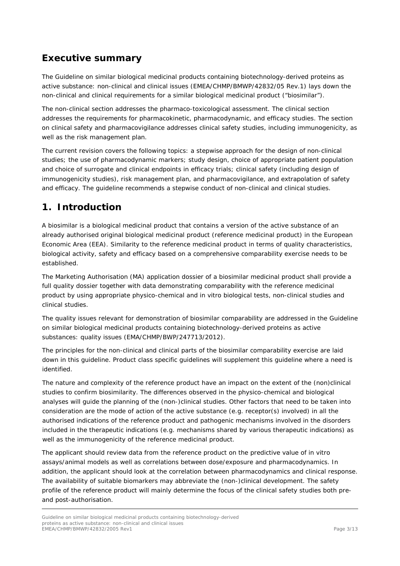# <span id="page-2-0"></span>**Executive summary**

The *Guideline on similar biological medicinal products containing biotechnology-derived proteins as active substance: non-clinical and clinical issues* (EMEA/CHMP/BMWP/42832/05 Rev.1) lays down the non-clinical and clinical requirements for a similar biological medicinal product ("biosimilar").

The non-clinical section addresses the pharmaco-toxicological assessment. The clinical section addresses the requirements for pharmacokinetic, pharmacodynamic, and efficacy studies. The section on clinical safety and pharmacovigilance addresses clinical safety studies, including immunogenicity, as well as the risk management plan.

The current revision covers the following topics: a stepwise approach for the design of non-clinical studies; the use of pharmacodynamic markers; study design, choice of appropriate patient population and choice of surrogate and clinical endpoints in efficacy trials; clinical safety (including design of immunogenicity studies), risk management plan, and pharmacovigilance, and extrapolation of safety and efficacy. The guideline recommends a stepwise conduct of non-clinical and clinical studies.

# <span id="page-2-1"></span>**1. Introduction**

A biosimilar is a biological medicinal product that contains a version of the active substance of an already authorised original biological medicinal product (reference medicinal product) in the European Economic Area (EEA). Similarity to the reference medicinal product in terms of quality characteristics, biological activity, safety and efficacy based on a comprehensive comparability exercise needs to be established.

The Marketing Authorisation (MA) application dossier of a biosimilar medicinal product shall provide a full quality dossier together with data demonstrating comparability with the reference medicinal product by using appropriate physico-chemical and *in vitro* biological tests, non-clinical studies and clinical studies.

The quality issues relevant for demonstration of biosimilar comparability are addressed in the *Guideline on similar biological medicinal products containing biotechnology-derived proteins as active substances: quality issues* (EMA/CHMP/BWP/247713/2012).

The principles for the non-clinical and clinical parts of the biosimilar comparability exercise are laid down in this guideline. Product class specific guidelines will supplement this guideline where a need is identified.

The nature and complexity of the reference product have an impact on the extent of the (non)clinical studies to confirm biosimilarity. The differences observed in the physico-chemical and biological analyses will guide the planning of the (non-)clinical studies. Other factors that need to be taken into consideration are the mode of action of the active substance (e.g. receptor(s) involved) in all the authorised indications of the reference product and pathogenic mechanisms involved in the disorders included in the therapeutic indications (e.g. mechanisms shared by various therapeutic indications) as well as the immunogenicity of the reference medicinal product.

The applicant should review data from the reference product on the predictive value of *in vitro* assays/animal models as well as correlations between dose/exposure and pharmacodynamics. In addition, the applicant should look at the correlation between pharmacodynamics and clinical response. The availability of suitable biomarkers may abbreviate the (non-)clinical development. The safety profile of the reference product will mainly determine the focus of the clinical safety studies both preand post-authorisation.

Guideline on similar biological medicinal products containing biotechnology-derived proteins as active substance: non-clinical and clinical issues EMEA/CHMP/BMWP/42832/2005 Rev1 Page 3/13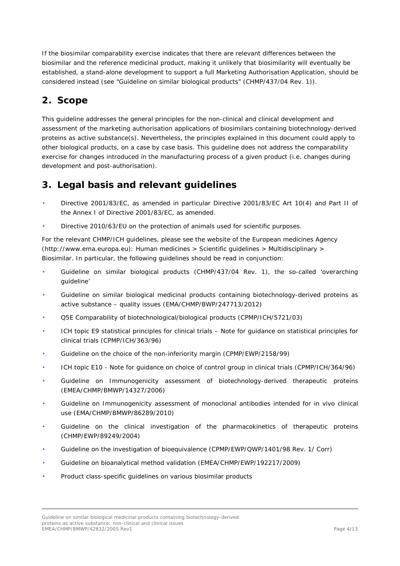If the biosimilar comparability exercise indicates that there are relevant differences between the biosimilar and the reference medicinal product, making it unlikely that biosimilarity will eventually be established, a stand-alone development to support a full Marketing Authorisation Application, should be considered instead (see "Guideline on similar biological products" (CHMP/437/04 Rev. 1)).

# <span id="page-3-0"></span>**2. Scope**

This guideline addresses the general principles for the non-clinical and clinical development and assessment of the marketing authorisation applications of biosimilars containing biotechnology-derived proteins as active substance(s). Nevertheless, the principles explained in this document could apply to other biological products, on a case by case basis. This guideline does not address the comparability exercise for changes introduced in the manufacturing process of a given product (i.e. changes during development and post-authorisation).

# <span id="page-3-1"></span>**3. Legal basis and relevant guidelines**

- Directive 2001/83/EC, as amended in particular Directive 2001/83/EC Art 10(4) and Part II of the Annex I of Directive 2001/83/EC, as amended.
- Directive 2010/63/EU on the protection of animals used for scientific purposes.

For the relevant CHMP/ICH guidelines, please see the website of the European medicines Agency [\(http://www.ema.europa.eu\)](http://www.ema.europa.eu/): Human medicines > Scientific guidelines > Multidisciplinary > Biosimilar. In particular, the following guidelines should be read in conjunction:

- Guideline on similar biological products (CHMP/437/04 Rev. 1), the so-called 'overarching guideline'
- Guideline on similar biological medicinal products containing biotechnology-derived proteins as active substance – quality issues (EMA/CHMP/BWP/247713/2012)
- Q5E Comparability of biotechnological/biological products (CPMP/ICH/5721/03)
- ICH topic E9 statistical principles for clinical trials Note for guidance on statistical principles for clinical trials (CPMP/ICH/363/96)
- [Guideline on the choice of the non-inferiority margin](http://www.ema.europa.eu/docs/en_gb/document_library/scientific_guideline/2009/09/wc500003636.pdf) (CPMP/EWP/2158/99)
- ICH topic E10 Note for guidance on choice of control group in clinical trials (CPMP/ICH/364/96)
- Guideline on Immunogenicity assessment of biotechnology-derived therapeutic proteins (EMEA/CHMP/BMWP/14327/2006)
- Guideline on Immunogenicity assessment of monoclonal antibodies intended for in vivo clinical use (EMA/CHMP/BMWP/86289/2010)
- Guideline on the clinical investigation of the pharmacokinetics of therapeutic proteins (CHMP/EWP/89249/2004)
- Guideline on the investigation of bioequivalence (CPMP/EWP/QWP/1401/98 Rev. 1/ Corr)
- Guideline on bioanalytical method validation (EMEA/CHMP/EWP/192217/2009)
- Product class-specific guidelines on various biosimilar products

Guideline on similar biological medicinal products containing biotechnology-derived proteins as active substance: non-clinical and clinical issues EMEA/CHMP/BMWP/42832/2005 Rev1 Page 4/13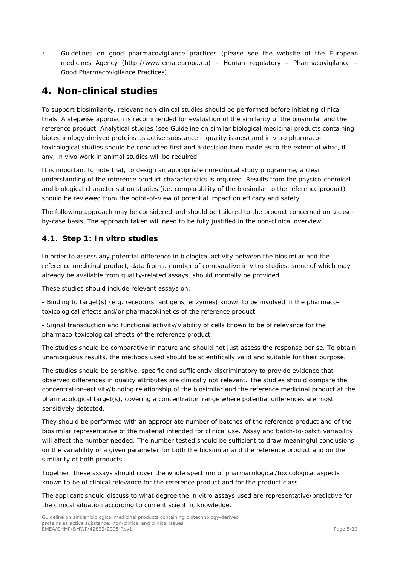• Guidelines on good pharmacovigilance practices (please see the website of the European medicines Agency [\(http://www.ema.europa.eu\)](http://www.ema.europa.eu/) – Human regulatory – Pharmacovigilance – Good Pharmacovigilance Practices)

# <span id="page-4-0"></span>**4. Non-clinical studies**

To support biosimilarity, relevant non-clinical studies should be performed before initiating clinical trials. A stepwise approach is recommended for evaluation of the similarity of the biosimilar and the reference product. Analytical studies (see Guideline on similar biological medicinal products containing biotechnology-derived proteins as active substance – quality issues) and *in vitro* pharmacotoxicological studies should be conducted first and a decision then made as to the extent of what, if any, *in vivo* work in animal studies will be required.

It is important to note that, to design an appropriate non-clinical study programme, a clear understanding of the reference product characteristics is required. Results from the physico-chemical and biological characterisation studies (i.e. comparability of the biosimilar to the reference product) should be reviewed from the point-of-view of potential impact on efficacy and safety.

The following approach may be considered and should be tailored to the product concerned on a caseby-case basis. The approach taken will need to be fully justified in the non-clinical overview.

#### <span id="page-4-1"></span>*4.1. Step 1: In vitro studies*

In order to assess any potential difference in biological activity between the biosimilar and the reference medicinal product, data from a number of comparative *in vitro* studies, some of which may already be available from quality-related assays, should normally be provided.

These studies should include relevant assays on:

- *Binding* to target(s) (e.g. receptors, antigens, enzymes) known to be involved in the pharmacotoxicological effects and/or pharmacokinetics of the reference product.

- *Signal transduction and functional activity/viability* of cells known to be of relevance for the pharmaco-toxicological effects of the reference product.

The studies should be comparative in nature and should not just assess the response *per se*. To obtain unambiguous results, the methods used should be scientifically valid and suitable for their purpose.

The studies should be sensitive, specific and sufficiently discriminatory to provide evidence that observed differences in quality attributes are clinically not relevant. The studies should compare the concentration–activity/binding relationship of the biosimilar and the reference medicinal product at the pharmacological target(s), covering a concentration range where potential differences are most sensitively detected.

They should be performed with an appropriate number of batches of the reference product and of the biosimilar representative of the material intended for clinical use. Assay and batch-to-batch variability will affect the number needed. The number tested should be sufficient to draw meaningful conclusions on the variability of a given parameter for both the biosimilar and the reference product and on the similarity of both products.

Together, these assays should cover the whole spectrum of pharmacological/toxicological aspects known to be of clinical relevance for the reference product and for the product class.

The applicant should discuss to what degree the *in vitro* assays used are representative/predictive for the clinical situation according to current scientific knowledge.

Guideline on similar biological medicinal products containing biotechnology-derived proteins as active substance: non-clinical and clinical issues EMEA/CHMP/BMWP/42832/2005 Rev1 Page 5/13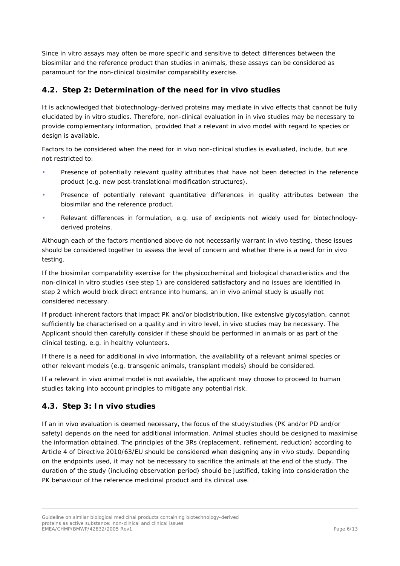Since *in vitro* assays may often be more specific and sensitive to detect differences between the biosimilar and the reference product than studies in animals, these assays can be considered as paramount for the non-clinical biosimilar comparability exercise.

#### <span id="page-5-0"></span>*4.2. Step 2: Determination of the need for in vivo studies*

It is acknowledged that biotechnology-derived proteins may mediate *in vivo* effects that cannot be fully elucidated by *in vitro* studies. Therefore, non-clinical evaluation in *in vivo* studies may be necessary to provide complementary information, provided that a relevant *in vivo* model with regard to species or design is available.

Factors to be considered when the need for *in vivo* non-clinical studies is evaluated, include, but are not restricted to:

- Presence of potentially relevant quality attributes that have not been detected in the reference product (e.g. new post-translational modification structures).
- Presence of potentially relevant quantitative differences in quality attributes between the biosimilar and the reference product.
- Relevant differences in formulation, e.g. use of excipients not widely used for biotechnologyderived proteins.

Although each of the factors mentioned above do not necessarily warrant *in vivo* testing, these issues should be considered together to assess the level of concern and whether there is a need for *in vivo* testing.

If the biosimilar comparability exercise for the physicochemical and biological characteristics and the non-clinical *in vitro* studies (see step 1) are considered satisfactory and no issues are identified in step 2 which would block direct entrance into humans, an *in vivo* animal study is usually not considered necessary.

If product-inherent factors that impact PK and/or biodistribution, like extensive glycosylation, cannot sufficiently be characterised on a quality and *in vitro* level, *in vivo* studies may be necessary. The Applicant should then carefully consider if these should be performed in animals or as part of the clinical testing, e.g. in healthy volunteers.

If there is a need for additional *in vivo* information, the availability of a relevant animal species or other relevant models (e.g. transgenic animals, transplant models) should be considered.

If a relevant *in vivo* animal model is not available, the applicant may choose to proceed to human studies taking into account principles to mitigate any potential risk.

#### <span id="page-5-1"></span>*4.3. Step 3: In vivo studies*

If an *in vivo* evaluation is deemed necessary, the focus of the study/studies (PK and/or PD and/or safety) depends on the need for additional information. Animal studies should be designed to maximise the information obtained. The principles of the 3Rs (replacement, refinement, reduction) according to Article 4 of Directive 2010/63/EU should be considered when designing any *in vivo* study. Depending on the endpoints used, it may not be necessary to sacrifice the animals at the end of the study. The duration of the study (including observation period) should be justified, taking into consideration the PK behaviour of the reference medicinal product and its clinical use.

Guideline on similar biological medicinal products containing biotechnology-derived proteins as active substance: non-clinical and clinical issues EMEA/CHMP/BMWP/42832/2005 Rev1 Page 6/13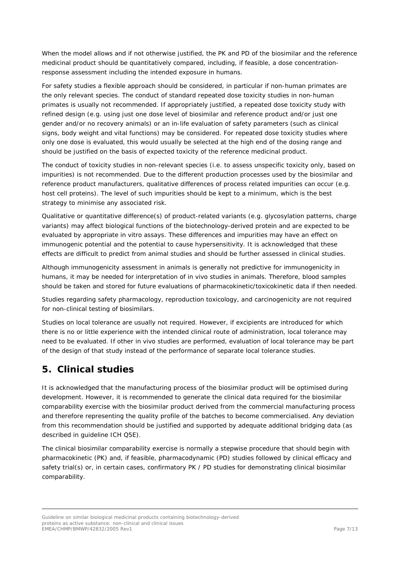When the model allows and if not otherwise justified, the PK and PD of the biosimilar and the reference medicinal product should be quantitatively compared, including, if feasible, a dose concentrationresponse assessment including the intended exposure in humans.

For safety studies a flexible approach should be considered, in particular if non-human primates are the only relevant species. The conduct of standard repeated dose toxicity studies in non-human primates is usually not recommended. If appropriately justified, a repeated dose toxicity study with refined design (e.g. using just one dose level of biosimilar and reference product and/or just one gender and/or no recovery animals) or an in-life evaluation of safety parameters (such as clinical signs, body weight and vital functions) may be considered. For repeated dose toxicity studies where only one dose is evaluated, this would usually be selected at the high end of the dosing range and should be justified on the basis of expected toxicity of the reference medicinal product.

The conduct of toxicity studies in non-relevant species (i.e. to assess unspecific toxicity only, based on impurities) is not recommended. Due to the different production processes used by the biosimilar and reference product manufacturers, qualitative differences of process related impurities can occur (e.g. host cell proteins). The level of such impurities should be kept to a minimum, which is the best strategy to minimise any associated risk.

Qualitative or quantitative difference(s) of product-related variants (e.g. glycosylation patterns, charge variants) may affect biological functions of the biotechnology-derived protein and are expected to be evaluated by appropriate *in vitro* assays. These differences and impurities may have an effect on immunogenic potential and the potential to cause hypersensitivity. It is acknowledged that these effects are difficult to predict from animal studies and should be further assessed in clinical studies.

Although immunogenicity assessment in animals is generally not predictive for immunogenicity in humans, it may be needed for interpretation of *in vivo* studies in animals. Therefore, blood samples should be taken and stored for future evaluations of pharmacokinetic/toxicokinetic data if then needed.

Studies regarding safety pharmacology, reproduction toxicology, and carcinogenicity are not required for non-clinical testing of biosimilars.

Studies on local tolerance are usually not required. However, if excipients are introduced for which there is no or little experience with the intended clinical route of administration, local tolerance may need to be evaluated. If other *in vivo* studies are performed, evaluation of local tolerance may be part of the design of that study instead of the performance of separate local tolerance studies.

# <span id="page-6-0"></span>**5. Clinical studies**

It is acknowledged that the manufacturing process of the biosimilar product will be optimised during development. However, it is recommended to generate the clinical data required for the biosimilar comparability exercise with the biosimilar product derived from the commercial manufacturing process and therefore representing the quality profile of the batches to become commercialised. Any deviation from this recommendation should be justified and supported by adequate additional bridging data (as described in guideline ICH Q5E).

The clinical biosimilar comparability exercise is normally a stepwise procedure that should begin with pharmacokinetic (PK) and, if feasible, pharmacodynamic (PD) studies followed by clinical efficacy and safety trial(s) or, in certain cases, confirmatory PK / PD studies for demonstrating clinical biosimilar comparability.

Guideline on similar biological medicinal products containing biotechnology-derived proteins as active substance: non-clinical and clinical issues EMEA/CHMP/BMWP/42832/2005 Rev1 Page 7/13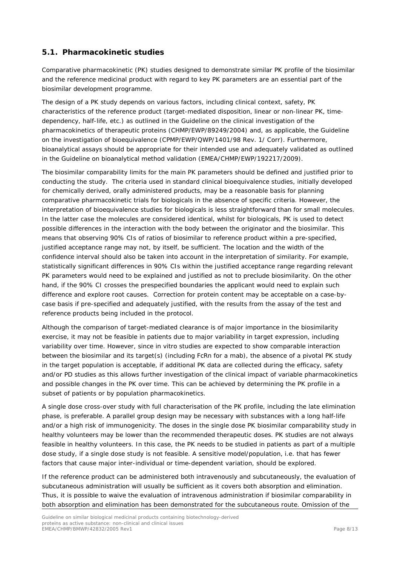#### <span id="page-7-0"></span>*5.1. Pharmacokinetic studies*

Comparative pharmacokinetic (PK) studies designed to demonstrate similar PK profile of the biosimilar and the reference medicinal product with regard to key PK parameters are an essential part of the biosimilar development programme.

The design of a PK study depends on various factors, including clinical context, safety, PK characteristics of the reference product (target-mediated disposition, linear or non-linear PK, timedependency, half-life, etc.) as outlined in the *Guideline on the clinical investigation of the pharmacokinetics of therapeutic proteins* (CHMP/EWP/89249/2004) and, as applicable, the *Guideline on the investigation of bioequivalence* (CPMP/EWP/QWP/1401/98 Rev. 1/ Corr). Furthermore, bioanalytical assays should be appropriate for their intended use and adequately validated as outlined in the *Guideline on bioanalytical method validation* (EMEA/CHMP/EWP/192217/2009).

The biosimilar comparability limits for the main PK parameters should be defined and justified prior to conducting the study. The criteria used in standard clinical bioequivalence studies, initially developed for chemically derived, orally administered products, may be a reasonable basis for planning comparative pharmacokinetic trials for biologicals in the absence of specific criteria. However, the interpretation of bioequivalence studies for biologicals is less straightforward than for small molecules. In the latter case the molecules are considered identical, whilst for biologicals, PK is used to detect possible differences in the interaction with the body between the originator and the biosimilar. This means that observing 90% CIs of ratios of biosimilar to reference product within a pre-specified, justified acceptance range may not, by itself, be sufficient. The location and the width of the confidence interval should also be taken into account in the interpretation of similarity. For example, statistically significant differences in 90% CIs within the justified acceptance range regarding relevant PK parameters would need to be explained and justified as not to preclude biosimilarity. On the other hand, if the 90% CI crosses the prespecified boundaries the applicant would need to explain such difference and explore root causes. Correction for protein content may be acceptable on a case-bycase basis if pre-specified and adequately justified, with the results from the assay of the test and reference products being included in the protocol.

Although the comparison of target-mediated clearance is of major importance in the biosimilarity exercise, it may not be feasible in patients due to major variability in target expression, including variability over time. However, since *in vitro* studies are expected to show comparable interaction between the biosimilar and its target(s) (including FcRn for a mab), the absence of a pivotal PK study in the target population is acceptable, if additional PK data are collected during the efficacy, safety and/or PD studies as this allows further investigation of the clinical impact of variable pharmacokinetics and possible changes in the PK over time. This can be achieved by determining the PK profile in a subset of patients or by population pharmacokinetics.

A single dose cross-over study with full characterisation of the PK profile, including the late elimination phase, is preferable. A parallel group design may be necessary with substances with a long half-life and/or a high risk of immunogenicity. The doses in the single dose PK biosimilar comparability study in healthy volunteers may be lower than the recommended therapeutic doses. PK studies are not always feasible in healthy volunteers. In this case, the PK needs to be studied in patients as part of a multiple dose study, if a single dose study is not feasible. A sensitive model/population, i.e. that has fewer factors that cause major inter-individual or time-dependent variation, should be explored.

If the reference product can be administered both intravenously and subcutaneously, the evaluation of subcutaneous administration will usually be sufficient as it covers both absorption and elimination. Thus, it is possible to waive the evaluation of intravenous administration if biosimilar comparability in both absorption and elimination has been demonstrated for the subcutaneous route. Omission of the

Guideline on similar biological medicinal products containing biotechnology-derived proteins as active substance: non-clinical and clinical issues EMEA/CHMP/BMWP/42832/2005 Rev1 Page 8/13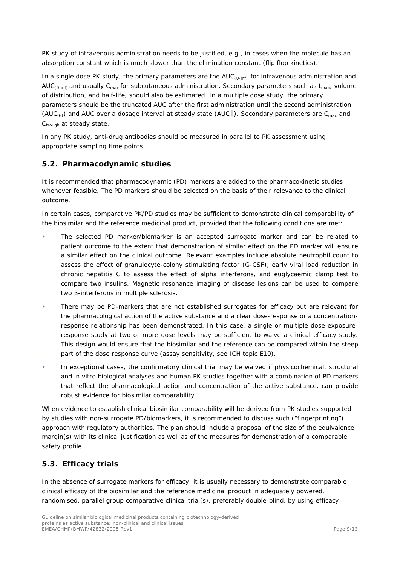PK study of intravenous administration needs to be justified, e.g., in cases when the molecule has an absorption constant which is much slower than the elimination constant (flip flop kinetics).

In a single dose PK study, the primary parameters are the AUC<sub>(0-inf)</sub> for intravenous administration and AUC<sub>(0-inf)</sub> and usually C<sub>max</sub> for subcutaneous administration. Secondary parameters such as t<sub>max</sub>, volume of distribution, and half-life, should also be estimated. In a multiple dose study, the primary parameters should be the truncated AUC after the first administration until the second administration (AUC<sub>0-t</sub>) and AUC over a dosage interval at steady state (AUC |). Secondary parameters are C<sub>max</sub> and C<sub>trough</sub> at steady state.

In any PK study, anti-drug antibodies should be measured in parallel to PK assessment using appropriate sampling time points.

#### <span id="page-8-0"></span>*5.2. Pharmacodynamic studies*

It is recommended that pharmacodynamic (PD) markers are added to the pharmacokinetic studies whenever feasible. The PD markers should be selected on the basis of their relevance to the clinical outcome.

In certain cases, comparative PK/PD studies may be sufficient to demonstrate clinical comparability of the biosimilar and the reference medicinal product, provided that the following conditions are met:

- The selected PD marker/biomarker is an accepted surrogate marker and can be related to patient outcome to the extent that demonstration of similar effect on the PD marker will ensure a similar effect on the clinical outcome. Relevant examples include absolute neutrophil count to assess the effect of granulocyte-colony stimulating factor (G-CSF), early viral load reduction in chronic hepatitis C to assess the effect of alpha interferons, and euglycaemic clamp test to compare two insulins. Magnetic resonance imaging of disease lesions can be used to compare two β-interferons in multiple sclerosis.
- There may be PD-markers that are not established surrogates for efficacy but are relevant for the pharmacological action of the active substance and a clear dose-response or a concentrationresponse relationship has been demonstrated. In this case, a single or multiple dose-exposureresponse study at two or more dose levels may be sufficient to waive a clinical efficacy study. This design would ensure that the biosimilar and the reference can be compared within the steep part of the dose response curve (assay sensitivity, see ICH topic E10).
- In exceptional cases, the confirmatory clinical trial may be waived if physicochemical, structural and *in vitro* biological analyses and human PK studies together with a combination of PD markers that reflect the pharmacological action and concentration of the active substance, can provide robust evidence for biosimilar comparability.

When evidence to establish clinical biosimilar comparability will be derived from PK studies supported by studies with non-surrogate PD/biomarkers, it is recommended to discuss such ("fingerprinting") approach with regulatory authorities. The plan should include a proposal of the size of the equivalence margin(s) with its clinical justification as well as of the measures for demonstration of a comparable safety profile.

#### <span id="page-8-1"></span>*5.3. Efficacy trials*

In the absence of surrogate markers for efficacy, it is usually necessary to demonstrate comparable clinical efficacy of the biosimilar and the reference medicinal product in adequately powered, randomised, parallel group comparative clinical trial(s), preferably double-blind, by using efficacy

Guideline on similar biological medicinal products containing biotechnology-derived proteins as active substance: non-clinical and clinical issues EMEA/CHMP/BMWP/42832/2005 Rev1 Page 9/13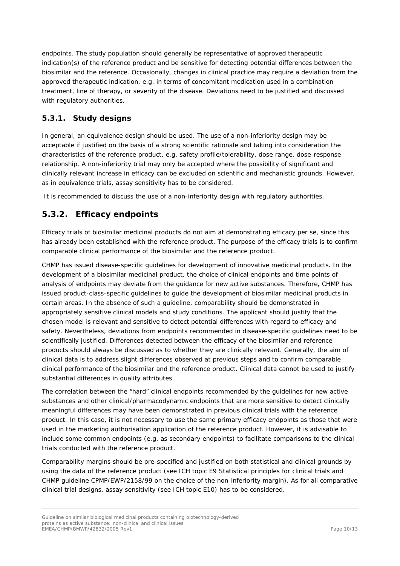endpoints. The study population should generally be representative of approved therapeutic indication(s) of the reference product and be sensitive for detecting potential differences between the biosimilar and the reference. Occasionally, changes in clinical practice may require a deviation from the approved therapeutic indication, e.g. in terms of concomitant medication used in a combination treatment, line of therapy, or severity of the disease. Deviations need to be justified and discussed with regulatory authorities.

#### <span id="page-9-0"></span>**5.3.1. Study designs**

In general, an equivalence design should be used. The use of a non-inferiority design may be acceptable if justified on the basis of a strong scientific rationale and taking into consideration the characteristics of the reference product, e.g. safety profile/tolerability, dose range, dose-response relationship. A non-inferiority trial may only be accepted where the possibility of significant and clinically relevant increase in efficacy can be excluded on scientific and mechanistic grounds. However, as in equivalence trials, assay sensitivity has to be considered.

It is recommended to discuss the use of a non-inferiority design with regulatory authorities.

## <span id="page-9-1"></span>**5.3.2. Efficacy endpoints**

Efficacy trials of biosimilar medicinal products do not aim at demonstrating efficacy *per se*, since this has already been established with the reference product. The purpose of the efficacy trials is to confirm comparable clinical performance of the biosimilar and the reference product.

CHMP has issued disease-specific guidelines for development of innovative medicinal products. In the development of a biosimilar medicinal product, the choice of clinical endpoints and time points of analysis of endpoints may deviate from the guidance for new active substances. Therefore, CHMP has issued product-class-specific guidelines to guide the development of biosimilar medicinal products in certain areas. In the absence of such a guideline, comparability should be demonstrated in appropriately sensitive clinical models and study conditions. The applicant should justify that the chosen model is relevant and sensitive to detect potential differences with regard to efficacy and safety. Nevertheless, deviations from endpoints recommended in disease-specific guidelines need to be scientifically justified. Differences detected between the efficacy of the biosimilar and reference products should always be discussed as to whether they are clinically relevant. Generally, the aim of clinical data is to address slight differences observed at previous steps and to confirm comparable clinical performance of the biosimilar and the reference product. Clinical data cannot be used to justify substantial differences in quality attributes.

The correlation between the "hard" clinical endpoints recommended by the guidelines for new active substances and other clinical/pharmacodynamic endpoints that are more sensitive to detect clinically meaningful differences may have been demonstrated in previous clinical trials with the reference product. In this case, it is not necessary to use the same primary efficacy endpoints as those that were used in the marketing authorisation application of the reference product. However, it is advisable to include some common endpoints (e.g. as secondary endpoints) to facilitate comparisons to the clinical trials conducted with the reference product.

Comparability margins should be pre-specified and justified on both statistical and clinical grounds by using the data of the reference product (see ICH topic E9 Statistical principles for clinical trials and CHMP [guideline CPMP/EWP/2158/99 on the choice of the non-inferiority margin\)](http://www.ema.europa.eu/docs/en_gb/document_library/scientific_guideline/2009/09/wc500003636.pdf). As for all comparative clinical trial designs, assay sensitivity (see ICH topic E10) has to be considered.

Guideline on similar biological medicinal products containing biotechnology-derived proteins as active substance: non-clinical and clinical issues EMEA/CHMP/BMWP/42832/2005 Rev1 Page 10/13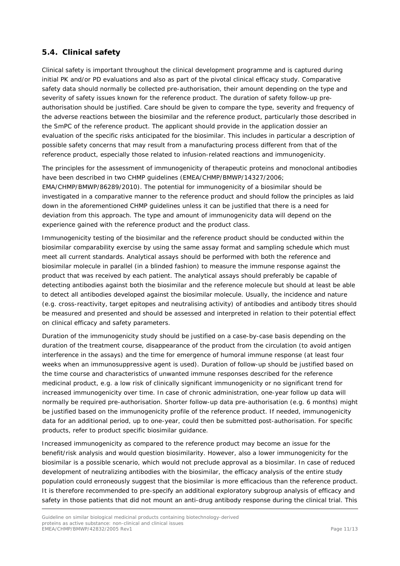#### <span id="page-10-0"></span>*5.4. Clinical safety*

Clinical safety is important throughout the clinical development programme and is captured during initial PK and/or PD evaluations and also as part of the pivotal clinical efficacy study. Comparative safety data should normally be collected pre-authorisation, their amount depending on the type and severity of safety issues known for the reference product. The duration of safety follow-up preauthorisation should be justified. Care should be given to compare the type, severity and frequency of the adverse reactions between the biosimilar and the reference product, particularly those described in the SmPC of the reference product. The applicant should provide in the application dossier an evaluation of the specific risks anticipated for the biosimilar. This includes in particular a description of possible safety concerns that may result from a manufacturing process different from that of the reference product, especially those related to infusion-related reactions and immunogenicity.

The principles for the assessment of immunogenicity of therapeutic proteins and monoclonal antibodies have been described in two CHMP guidelines (EMEA/CHMP/BMWP/14327/2006; EMA/CHMP/BMWP/86289/2010). The potential for immunogenicity of a biosimilar should be investigated in a comparative manner to the reference product and should follow the principles as laid down in the aforementioned CHMP guidelines unless it can be justified that there is a need for deviation from this approach. The type and amount of immunogenicity data will depend on the experience gained with the reference product and the product class.

Immunogenicity testing of the biosimilar and the reference product should be conducted within the biosimilar comparability exercise by using the same assay format and sampling schedule which must meet all current standards. Analytical assays should be performed with both the reference and biosimilar molecule in parallel (in a blinded fashion) to measure the immune response against the product that was received by each patient. The analytical assays should preferably be capable of detecting antibodies against both the biosimilar and the reference molecule but should at least be able to detect all antibodies developed against the biosimilar molecule. Usually, the incidence and nature (e.g. cross-reactivity, target epitopes and neutralising activity) of antibodies and antibody titres should be measured and presented and should be assessed and interpreted in relation to their potential effect on clinical efficacy and safety parameters.

Duration of the immunogenicity study should be justified on a case-by-case basis depending on the duration of the treatment course, disappearance of the product from the circulation (to avoid antigen interference in the assays) and the time for emergence of humoral immune response (at least four weeks when an immunosuppressive agent is used). Duration of follow-up should be justified based on the time course and characteristics of unwanted immune responses described for the reference medicinal product, e.g. a low risk of clinically significant immunogenicity or no significant trend for increased immunogenicity over time. In case of chronic administration, one-year follow up data will normally be required pre-authorisation. Shorter follow-up data pre-authorisation (e.g. 6 months) might be justified based on the immunogenicity profile of the reference product. If needed, immunogenicity data for an additional period, up to one-year, could then be submitted post-authorisation. For specific products, refer to product specific biosimilar guidance.

Increased immunogenicity as compared to the reference product may become an issue for the benefit/risk analysis and would question biosimilarity. However, also a lower immunogenicity for the biosimilar is a possible scenario, which would not preclude approval as a biosimilar. In case of reduced development of neutralizing antibodies with the biosimilar, the efficacy analysis of the entire study population could erroneously suggest that the biosimilar is more efficacious than the reference product. It is therefore recommended to pre-specify an additional exploratory subgroup analysis of efficacy and safety in those patients that did not mount an anti-drug antibody response during the clinical trial. This

Guideline on similar biological medicinal products containing biotechnology-derived proteins as active substance: non-clinical and clinical issues EMEA/CHMP/BMWP/42832/2005 Rev1 Page 11/13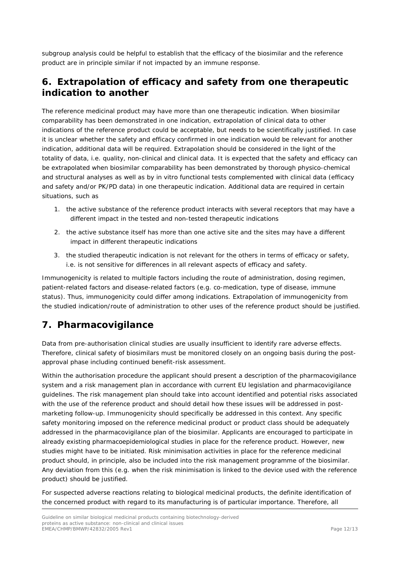subgroup analysis could be helpful to establish that the efficacy of the biosimilar and the reference product are in principle similar if not impacted by an immune response.

## <span id="page-11-0"></span>**6. Extrapolation of efficacy and safety from one therapeutic indication to another**

The reference medicinal product may have more than one therapeutic indication. When biosimilar comparability has been demonstrated in one indication, extrapolation of clinical data to other indications of the reference product could be acceptable, but needs to be scientifically justified. In case it is unclear whether the safety and efficacy confirmed in one indication would be relevant for another indication, additional data will be required*.* Extrapolation should be considered in the light of the totality of data, i.e. quality, non-clinical and clinical data. It is expected that the safety and efficacy can be extrapolated when biosimilar comparability has been demonstrated by thorough physico-chemical and structural analyses as well as by *in vitro* functional tests complemented with clinical data (efficacy and safety and/or PK/PD data) in one therapeutic indication. Additional data are required in certain situations, such as

- 1. the active substance of the reference product interacts with several receptors that may have a different impact in the tested and non-tested therapeutic indications
- 2. the active substance itself has more than one active site and the sites may have a different impact in different therapeutic indications
- 3. the studied therapeutic indication is not relevant for the others in terms of efficacy or safety, i.e. is not sensitive for differences in all relevant aspects of efficacy and safety.

Immunogenicity is related to multiple factors including the route of administration, dosing regimen, patient-related factors and disease-related factors (e.g. co-medication, type of disease, immune status). Thus, immunogenicity could differ among indications. Extrapolation of immunogenicity from the studied indication/route of administration to other uses of the reference product should be justified.

# <span id="page-11-1"></span>**7. Pharmacovigilance**

Data from pre-authorisation clinical studies are usually insufficient to identify rare adverse effects. Therefore, clinical safety of biosimilars must be monitored closely on an ongoing basis during the postapproval phase including continued benefit-risk assessment.

Within the authorisation procedure the applicant should present a description of the pharmacovigilance system and a risk management plan in accordance with current EU legislation and pharmacovigilance guidelines. The risk management plan should take into account identified and potential risks associated with the use of the reference product and should detail how these issues will be addressed in postmarketing follow-up. Immunogenicity should specifically be addressed in this context. Any specific safety monitoring imposed on the reference medicinal product or product class should be adequately addressed in the pharmacovigilance plan of the biosimilar. Applicants are encouraged to participate in already existing pharmacoepidemiological studies in place for the reference product. However, new studies might have to be initiated. Risk minimisation activities in place for the reference medicinal product should, in principle, also be included into the risk management programme of the biosimilar. Any deviation from this (e.g. when the risk minimisation is linked to the device used with the reference product) should be justified.

For suspected adverse reactions relating to biological medicinal products, the definite identification of the concerned product with regard to its manufacturing is of particular importance. Therefore, all

Guideline on similar biological medicinal products containing biotechnology-derived proteins as active substance: non-clinical and clinical issues EMEA/CHMP/BMWP/42832/2005 Rev1 Page 12/13